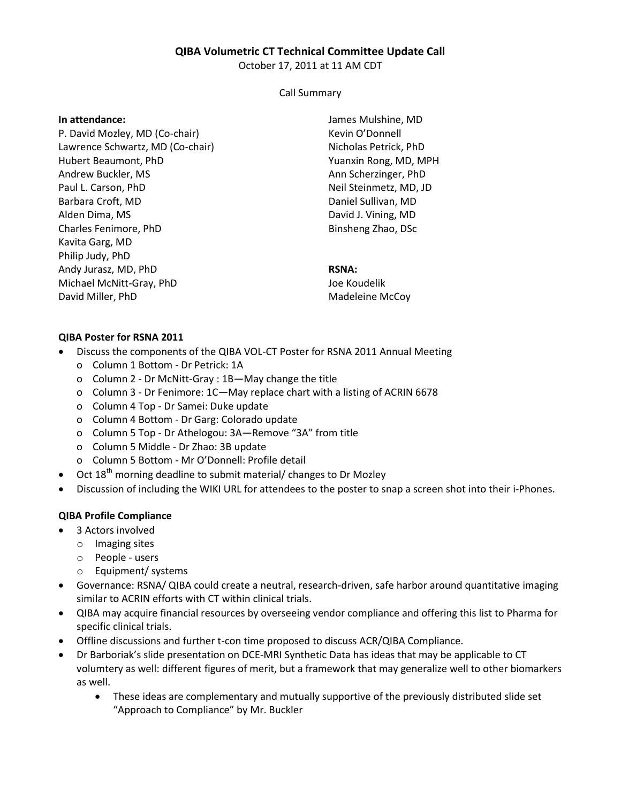## **QIBA Volumetric CT Technical Committee Update Call**

October 17, 2011 at 11 AM CDT

### Call Summary

#### **In attendance:**

P. David Mozley, MD (Co-chair) Lawrence Schwartz, MD (Co-chair) Hubert Beaumont, PhD Andrew Buckler, MS Paul L. Carson, PhD Barbara Croft, MD Alden Dima, MS Charles Fenimore, PhD Kavita Garg, MD Philip Judy, PhD Andy Jurasz, MD, PhD Michael McNitt-Gray, PhD David Miller, PhD

James Mulshine, MD Kevin O'Donnell Nicholas Petrick, PhD Yuanxin Rong, MD, MPH Ann Scherzinger, PhD Neil Steinmetz, MD, JD Daniel Sullivan, MD David J. Vining, MD Binsheng Zhao, DSc

## **RSNA:**

Joe Koudelik Madeleine McCoy

# **QIBA Poster for RSNA 2011**

- Discuss the components of the QIBA VOL-CT Poster for RSNA 2011 Annual Meeting
	- o Column 1 Bottom Dr Petrick: 1A
	- o Column 2 Dr McNitt-Gray : 1B—May change the title
	- o Column 3 Dr Fenimore: 1C—May replace chart with a listing of ACRIN 6678
	- o Column 4 Top Dr Samei: Duke update
	- o Column 4 Bottom Dr Garg: Colorado update
	- o Column 5 Top Dr Athelogou: 3A—Remove "3A" from title
	- o Column 5 Middle Dr Zhao: 3B update
	- o Column 5 Bottom Mr O'Donnell: Profile detail
- $\bullet$  Oct 18<sup>th</sup> morning deadline to submit material/ changes to Dr Mozley
- Discussion of including the WIKI URL for attendees to the poster to snap a screen shot into their i-Phones.

# **QIBA Profile Compliance**

- 3 Actors involved
	- o Imaging sites
	- o People users
	- o Equipment/ systems
- Governance: RSNA/ QIBA could create a neutral, research-driven, safe harbor around quantitative imaging similar to ACRIN efforts with CT within clinical trials.
- QIBA may acquire financial resources by overseeing vendor compliance and offering this list to Pharma for specific clinical trials.
- Offline discussions and further t-con time proposed to discuss ACR/QIBA Compliance.
- Dr Barboriak's slide presentation on DCE-MRI Synthetic Data has ideas that may be applicable to CT volumtery as well: different figures of merit, but a framework that may generalize well to other biomarkers as well.
	- These ideas are complementary and mutually supportive of the previously distributed slide set "Approach to Compliance" by Mr. Buckler